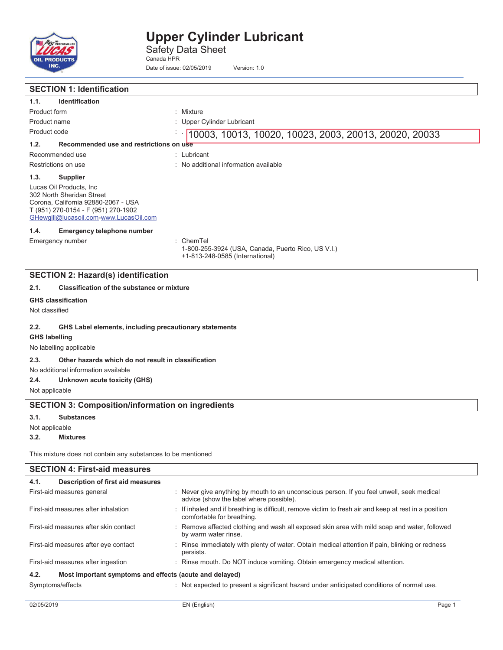

Safety Data Sheet Canada HPR

Date of issue: 02/05/2019 Version: 1.0

|                                                              | <b>SECTION 1: Identification</b>                                                                                                                                              |                                                                                                    |  |  |
|--------------------------------------------------------------|-------------------------------------------------------------------------------------------------------------------------------------------------------------------------------|----------------------------------------------------------------------------------------------------|--|--|
| 1.1.                                                         | <b>Identification</b>                                                                                                                                                         |                                                                                                    |  |  |
| Product form                                                 |                                                                                                                                                                               | : Mixture                                                                                          |  |  |
| Product name                                                 |                                                                                                                                                                               | Upper Cylinder Lubricant                                                                           |  |  |
| Product code                                                 |                                                                                                                                                                               | 10003, 10013, 10020, 10023, 2003, 20013, 20020, 20033                                              |  |  |
| 1.2.                                                         | Recommended use and restrictions on use                                                                                                                                       |                                                                                                    |  |  |
|                                                              | Recommended use                                                                                                                                                               | : Lubricant                                                                                        |  |  |
|                                                              | Restrictions on use                                                                                                                                                           | : No additional information available                                                              |  |  |
| 1.3.                                                         | <b>Supplier</b>                                                                                                                                                               |                                                                                                    |  |  |
|                                                              | Lucas Oil Products, Inc.<br>302 North Sheridan Street<br>Corona, California 92880-2067 - USA<br>T (951) 270-0154 - F (951) 270-1902<br>GHewgill@lucasoil.com-www.LucasOil.com |                                                                                                    |  |  |
| 1.4.                                                         | <b>Emergency telephone number</b>                                                                                                                                             |                                                                                                    |  |  |
|                                                              | Emergency number                                                                                                                                                              | : ChemTel<br>1-800-255-3924 (USA, Canada, Puerto Rico, US V.I.)<br>+1-813-248-0585 (International) |  |  |
|                                                              | <b>SECTION 2: Hazard(s) identification</b>                                                                                                                                    |                                                                                                    |  |  |
| 2.1.                                                         | <b>Classification of the substance or mixture</b>                                                                                                                             |                                                                                                    |  |  |
| <b>GHS classification</b><br>Not classified                  |                                                                                                                                                                               |                                                                                                    |  |  |
| 2.2.                                                         | GHS Label elements, including precautionary statements                                                                                                                        |                                                                                                    |  |  |
| <b>GHS labelling</b>                                         |                                                                                                                                                                               |                                                                                                    |  |  |
|                                                              | No labelling applicable                                                                                                                                                       |                                                                                                    |  |  |
| 2.3.                                                         | Other hazards which do not result in classification                                                                                                                           |                                                                                                    |  |  |
|                                                              | No additional information available                                                                                                                                           |                                                                                                    |  |  |
| 2.4.                                                         | Unknown acute toxicity (GHS)                                                                                                                                                  |                                                                                                    |  |  |
| Not applicable                                               |                                                                                                                                                                               |                                                                                                    |  |  |
| <b>SECTION 3: Composition/information on ingredients</b>     |                                                                                                                                                                               |                                                                                                    |  |  |
| 3.1.                                                         | <b>Substances</b>                                                                                                                                                             |                                                                                                    |  |  |
|                                                              | Not applicable                                                                                                                                                                |                                                                                                    |  |  |
| 3.2.                                                         | <b>Mixtures</b>                                                                                                                                                               |                                                                                                    |  |  |
| This mixture does not contain any substances to be mentioned |                                                                                                                                                                               |                                                                                                    |  |  |
|                                                              | <b>SECTION 4: First-aid measures</b>                                                                                                                                          |                                                                                                    |  |  |
| 4.1.                                                         | Description of first aid measures                                                                                                                                             |                                                                                                    |  |  |

| 4.1.<br>Description of first aid measures                       |                                                                                                                                      |
|-----------------------------------------------------------------|--------------------------------------------------------------------------------------------------------------------------------------|
| First-aid measures general                                      | : Never give anything by mouth to an unconscious person. If you feel unwell, seek medical<br>advice (show the label where possible). |
| First-aid measures after inhalation                             | : If inhaled and if breathing is difficult, remove victim to fresh air and keep at rest in a position<br>comfortable for breathing.  |
| First-aid measures after skin contact                           | : Remove affected clothing and wash all exposed skin area with mild soap and water, followed<br>by warm water rinse.                 |
| First-aid measures after eye contact                            | : Rinse immediately with plenty of water. Obtain medical attention if pain, blinking or redness<br>persists.                         |
| First-aid measures after ingestion                              | : Rinse mouth. Do NOT induce vomiting. Obtain emergency medical attention.                                                           |
| Most important symptoms and effects (acute and delayed)<br>4.2. |                                                                                                                                      |
| Symptoms/effects                                                | : Not expected to present a significant hazard under anticipated conditions of normal use.                                           |
|                                                                 |                                                                                                                                      |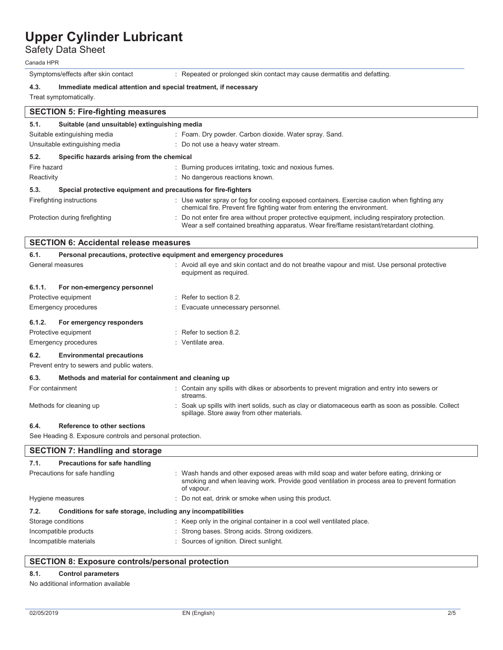Safety Data Sheet

Canada HPR

Symptoms/effects after skin contact : Repeated or prolonged skin contact may cause dermatitis and defatting.

## **4.3. Immediate medical attention and special treatment, if necessary**

Treat symptomatically.

| <b>SECTION 5: Fire-fighting measures</b>                               |                                                                                                                                                                                             |  |  |  |
|------------------------------------------------------------------------|---------------------------------------------------------------------------------------------------------------------------------------------------------------------------------------------|--|--|--|
| 5.1.                                                                   | Suitable (and unsuitable) extinguishing media                                                                                                                                               |  |  |  |
| Suitable extinguishing media                                           | : Foam. Dry powder. Carbon dioxide. Water spray. Sand.                                                                                                                                      |  |  |  |
| Unsuitable extinguishing media                                         | : Do not use a heavy water stream.                                                                                                                                                          |  |  |  |
| 5.2.<br>Specific hazards arising from the chemical                     |                                                                                                                                                                                             |  |  |  |
| Fire hazard                                                            | : Burning produces irritating, toxic and noxious fumes.                                                                                                                                     |  |  |  |
| Reactivity                                                             | : No dangerous reactions known.                                                                                                                                                             |  |  |  |
| 5.3.<br>Special protective equipment and precautions for fire-fighters |                                                                                                                                                                                             |  |  |  |
| Firefighting instructions                                              | : Use water spray or fog for cooling exposed containers. Exercise caution when fighting any<br>chemical fire. Prevent fire fighting water from entering the environment.                    |  |  |  |
| Protection during firefighting                                         | : Do not enter fire area without proper protective equipment, including respiratory protection.<br>Wear a self contained breathing apparatus. Wear fire/flame resistant/retardant clothing. |  |  |  |
| <b>SECTION 6: Accidental release measures</b>                          |                                                                                                                                                                                             |  |  |  |

| ULUTIUN U. AUUNGIKAI IGIGASG IIIGASULGS |                                                                                |                                                                                                                                                   |  |
|-----------------------------------------|--------------------------------------------------------------------------------|---------------------------------------------------------------------------------------------------------------------------------------------------|--|
| 6.1.                                    | Personal precautions, protective equipment and emergency procedures            |                                                                                                                                                   |  |
|                                         | General measures                                                               | : Avoid all eye and skin contact and do not breathe vapour and mist. Use personal protective<br>equipment as required.                            |  |
| 6.1.1.                                  | For non-emergency personnel                                                    |                                                                                                                                                   |  |
|                                         | Protective equipment                                                           | : Refer to section 8.2.                                                                                                                           |  |
|                                         | <b>Emergency procedures</b>                                                    | : Evacuate unnecessary personnel.                                                                                                                 |  |
| 6.1.2.                                  | For emergency responders                                                       |                                                                                                                                                   |  |
|                                         | Protective equipment                                                           | $\therefore$ Refer to section 8.2.                                                                                                                |  |
|                                         | <b>Emergency procedures</b>                                                    | : Ventilate area.                                                                                                                                 |  |
| 6.2.                                    | <b>Environmental precautions</b><br>Prevent entry to sewers and public waters. |                                                                                                                                                   |  |
| 6.3.                                    | Methods and material for containment and cleaning up                           |                                                                                                                                                   |  |
| For containment                         |                                                                                | : Contain any spills with dikes or absorbents to prevent migration and entry into sewers or<br>streams.                                           |  |
|                                         | Methods for cleaning up                                                        | : Soak up spills with inert solids, such as clay or diatomaceous earth as soon as possible. Collect<br>spillage. Store away from other materials. |  |
| 6.4.                                    | <b>Reference to other sections</b>                                             |                                                                                                                                                   |  |
|                                         | See Heading 8. Exposure controls and personal protection.                      |                                                                                                                                                   |  |
|                                         | <b>SECTION 7: Handling and storage</b>                                         |                                                                                                                                                   |  |

| Precautions for safe handling<br>7.1.                                |                                                                                                                                                                                                        |  |
|----------------------------------------------------------------------|--------------------------------------------------------------------------------------------------------------------------------------------------------------------------------------------------------|--|
| Precautions for safe handling                                        | : Wash hands and other exposed areas with mild soap and water before eating, drinking or<br>smoking and when leaving work. Provide good ventilation in process area to prevent formation<br>of vapour. |  |
| Hygiene measures                                                     | : Do not eat, drink or smoke when using this product.                                                                                                                                                  |  |
| Conditions for safe storage, including any incompatibilities<br>7.2. |                                                                                                                                                                                                        |  |
| Storage conditions                                                   | : Keep only in the original container in a cool well ventilated place.                                                                                                                                 |  |
| Incompatible products                                                | : Strong bases. Strong acids. Strong oxidizers.                                                                                                                                                        |  |
| Incompatible materials                                               |                                                                                                                                                                                                        |  |

## **SECTION 8: Exposure controls/personal protection**

## **8.1. Control parameters**

No additional information available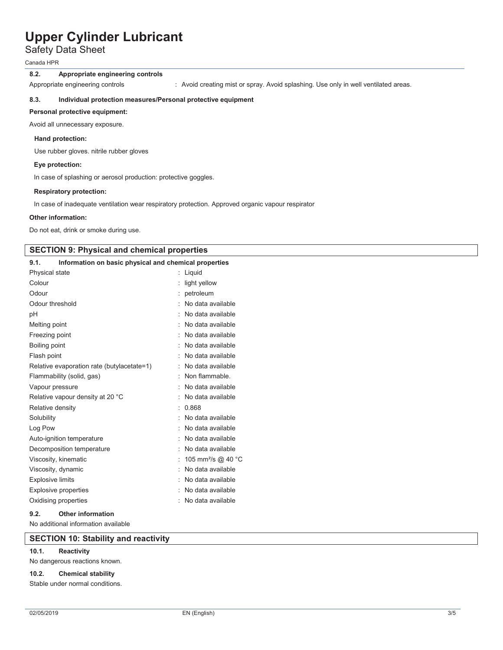Safety Data Sheet

Canada HPR

### **8.2. Appropriate engineering controls**

Appropriate engineering controls : Avoid creating mist or spray. Avoid splashing. Use only in well ventilated areas.

### **8.3. Individual protection measures/Personal protective equipment**

### **Personal protective equipment:**

Avoid all unnecessary exposure.

### **Hand protection:**

Use rubber gloves. nitrile rubber gloves

### **Eye protection:**

In case of splashing or aerosol production: protective goggles.

### **Respiratory protection:**

In case of inadequate ventilation wear respiratory protection. Approved organic vapour respirator

### **Other information:**

Do not eat, drink or smoke during use.

## **SECTION 9: Physical and chemical properties**

| Information on basic physical and chemical properties<br>9.1. |                                |
|---------------------------------------------------------------|--------------------------------|
| Physical state                                                | : Liquid                       |
| Colour                                                        | light yellow                   |
| Odour                                                         | petroleum                      |
| Odour threshold                                               | No data available              |
| рH                                                            | No data available              |
| Melting point                                                 | No data available              |
| Freezing point                                                | No data available              |
| Boiling point                                                 | No data available              |
| Flash point                                                   | No data available              |
| Relative evaporation rate (butylacetate=1)                    | No data available              |
| Flammability (solid, gas)                                     | Non flammable.                 |
| Vapour pressure                                               | No data available              |
| Relative vapour density at 20 °C                              | No data available              |
| Relative density                                              | 0.868                          |
| Solubility                                                    | No data available              |
| Log Pow                                                       | No data available              |
| Auto-ignition temperature                                     | No data available              |
| Decomposition temperature                                     | No data available              |
| Viscosity, kinematic                                          | 105 mm <sup>2</sup> /s @ 40 °C |
| Viscosity, dynamic                                            | No data available              |
| <b>Explosive limits</b>                                       | No data available              |
| <b>Explosive properties</b>                                   | No data available              |
| Oxidising properties                                          | No data available              |
|                                                               |                                |

### **9.2. Other information**

No additional information available

## **SECTION 10: Stability and reactivity**

## **10.1. Reactivity**

No dangerous reactions known.

### **10.2. Chemical stability**

Stable under normal conditions.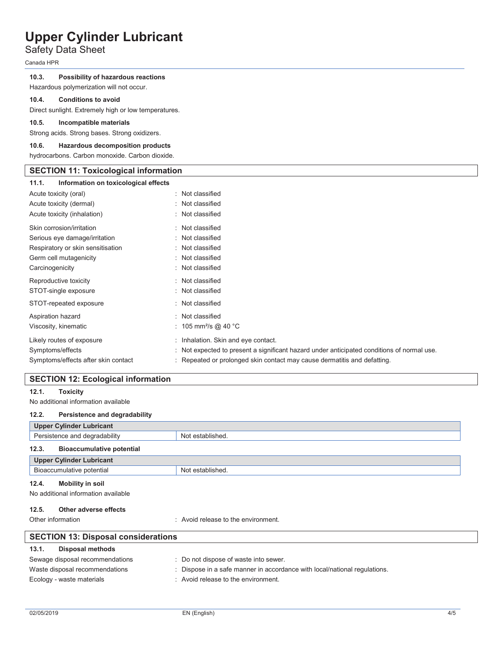## Safety Data Sheet

Canada HPR

### **10.3. Possibility of hazardous reactions**

Hazardous polymerization will not occur.

### **10.4. Conditions to avoid**

Direct sunlight. Extremely high or low temperatures.

### **10.5. Incompatible materials**

Strong acids. Strong bases. Strong oxidizers.

### **10.6. Hazardous decomposition products**

hydrocarbons. Carbon monoxide. Carbon dioxide.

## **SECTION 11: Toxicological information**

| Information on toxicological effects<br>11.1. |                                                                                            |
|-----------------------------------------------|--------------------------------------------------------------------------------------------|
| Acute toxicity (oral)                         | : Not classified                                                                           |
| Acute toxicity (dermal)                       | : Not classified                                                                           |
| Acute toxicity (inhalation)                   | : Not classified                                                                           |
| Skin corrosion/irritation                     | : Not classified                                                                           |
| Serious eye damage/irritation                 | : Not classified                                                                           |
| Respiratory or skin sensitisation             | : Not classified                                                                           |
| Germ cell mutagenicity                        | : Not classified                                                                           |
| Carcinogenicity                               | : Not classified                                                                           |
| Reproductive toxicity                         | : Not classified                                                                           |
| STOT-single exposure                          | : Not classified                                                                           |
| STOT-repeated exposure                        | : Not classified                                                                           |
| Aspiration hazard                             | : Not classified                                                                           |
| Viscosity, kinematic                          | : 105 mm <sup>2</sup> /s @ 40 °C                                                           |
| Likely routes of exposure                     | : Inhalation. Skin and eye contact.                                                        |
| Symptoms/effects                              | : Not expected to present a significant hazard under anticipated conditions of normal use. |
| Symptoms/effects after skin contact           | : Repeated or prolonged skin contact may cause dermatitis and defatting.                   |

## **SECTION 12: Ecological information**

## **12.1. Toxicity**

No additional information available

## **12.2. Persistence and degradability**

| Upper Cylinder Lubricant                  |                  |  |
|-------------------------------------------|------------------|--|
| Persistence and degradability             | Not established. |  |
| 12.3.<br><b>Bioaccumulative potential</b> |                  |  |
| Upper Cylinder Lubricant                  |                  |  |
| Bioaccumulative potential                 | Not established. |  |

## **12.4. Mobility in soil**

No additional information available

### **12.5. Other adverse effects**

Other information **COLOGY CONGERGY COLOGY** : Avoid release to the environment.

| <b>SECTION 13: Disposal considerations</b> |                                                                           |  |  |
|--------------------------------------------|---------------------------------------------------------------------------|--|--|
| 13.1.<br>Disposal methods                  |                                                                           |  |  |
| Sewage disposal recommendations            | : Do not dispose of waste into sewer.                                     |  |  |
| Waste disposal recommendations             | : Dispose in a safe manner in accordance with local/national regulations. |  |  |
| Ecology - waste materials                  | : Avoid release to the environment.                                       |  |  |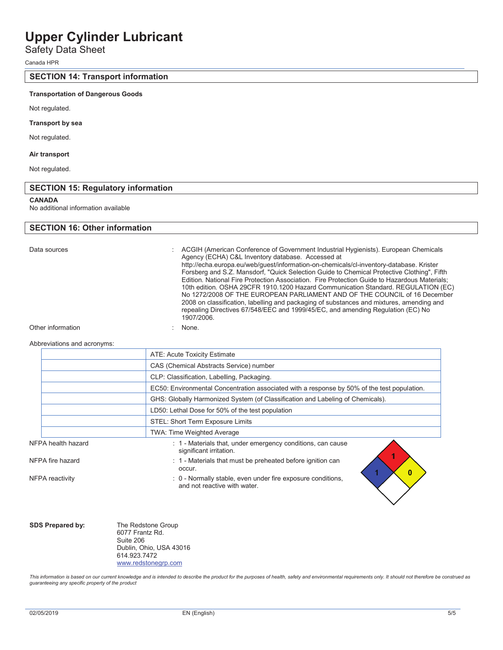## Safety Data Sheet

Canada HPR

## **SECTION 14: Transport information**

### **Transportation of Dangerous Goods**

Not regulated.

### **Transport by sea**

Not regulated.

### **Air transport**

Not regulated.

## **SECTION 15: Regulatory information**

#### **CANADA**

No additional information available

## **SECTION 16: Other information**

Data sources The Superson Conference of Government Industrial Hygienists). European Chemicals Agency (ECHA) C&L Inventory database. Accessed at http://echa.europa.eu/web/guest/information-on-chemicals/cl-inventory-database. Krister Forsberg and S.Z. Mansdorf, "Quick Selection Guide to Chemical Protective Clothing", Fifth Edition. National Fire Protection Association. Fire Protection Guide to Hazardous Materials; 10th edition. OSHA 29CFR 1910.1200 Hazard Communication Standard. REGULATION (EC) No 1272/2008 OF THE EUROPEAN PARLIAMENT AND OF THE COUNCIL of 16 December 2008 on classification, labelling and packaging of substances and mixtures, amending and repealing Directives 67/548/EEC and 1999/45/EC, and amending Regulation (EC) No 1907/2006.

Other information in the set of the set of the set of the set of the set of the set of the set of the set of the set of the set of the set of the set of the set of the set of the set of the set of the set of the set of the

#### Abbreviations and acronyms:

|                    | ATE: Acute Toxicity Estimate                                                                |
|--------------------|---------------------------------------------------------------------------------------------|
|                    | CAS (Chemical Abstracts Service) number                                                     |
|                    | CLP: Classification, Labelling, Packaging.                                                  |
|                    | EC50: Environmental Concentration associated with a response by 50% of the test population. |
|                    | GHS: Globally Harmonized System (of Classification and Labeling of Chemicals).              |
|                    | LD50: Lethal Dose for 50% of the test population                                            |
|                    | STEL: Short Term Exposure Limits                                                            |
|                    | TWA: Time Weighted Average                                                                  |
| NFPA health hazard | : 1 - Materials that, under emergency conditions, can cause<br>significant irritation.      |
| NFPA fire hazard   | : 1 - Materials that must be preheated before ignition can<br>occur.<br>0                   |
| NFPA reactivity    | : 0 - Normally stable, even under fire exposure conditions,<br>and not reactive with water. |

|  |  | <b>SDS Prepared by</b> |  |
|--|--|------------------------|--|
|--|--|------------------------|--|

**y:** The Redstone Group 6077 Frantz Rd. Suite 206 Dublin, Ohio, USA 43016 614.923.7472 www.redstonegrp.com

*This information is based on our current knowledge and is intended to describe the product for the purposes of health, safety and environmental requirements only. It should not therefore be construed as guaranteeing any specific property of the product*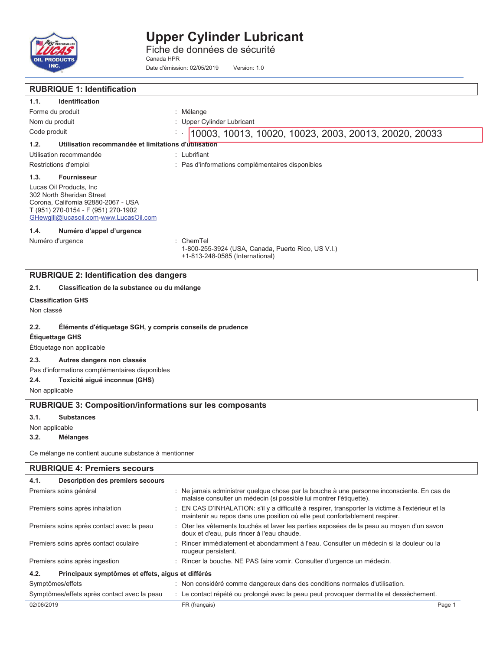

Fiche de données de sécurité Canada HPR

Date d'émission: 02/05/2019 Version: 1.0

| <b>RUBRIQUE 1: Identification</b>                                                                                                                                             |                                                                                                      |  |  |
|-------------------------------------------------------------------------------------------------------------------------------------------------------------------------------|------------------------------------------------------------------------------------------------------|--|--|
| Identification<br>1.1.                                                                                                                                                        |                                                                                                      |  |  |
| Forme du produit                                                                                                                                                              | : Mélange                                                                                            |  |  |
| Nom du produit                                                                                                                                                                | Upper Cylinder Lubricant                                                                             |  |  |
| Code produit                                                                                                                                                                  | 10003, 10013, 10020, 10023, 2003, 20013, 20020, 20033<br>÷.                                          |  |  |
| 1.2.<br>Utilisation recommandée et limitations d'utilisation                                                                                                                  |                                                                                                      |  |  |
| Utilisation recommandée                                                                                                                                                       | : Lubrifiant                                                                                         |  |  |
| Restrictions d'emploi                                                                                                                                                         | : Pas d'informations complémentaires disponibles                                                     |  |  |
| 1.3.<br><b>Fournisseur</b>                                                                                                                                                    |                                                                                                      |  |  |
| Lucas Oil Products, Inc.<br>302 North Sheridan Street<br>Corona, California 92880-2067 - USA<br>T (951) 270-0154 - F (951) 270-1902<br>GHewgill@lucasoil.com-www.LucasOil.com |                                                                                                      |  |  |
| Numéro d'appel d'urgence<br>1.4.                                                                                                                                              |                                                                                                      |  |  |
| Numéro d'urgence                                                                                                                                                              | $:$ ChemTel<br>1-800-255-3924 (USA, Canada, Puerto Rico, US V.I.)<br>+1-813-248-0585 (International) |  |  |
| <b>RUBRIQUE 2: Identification des dangers</b>                                                                                                                                 |                                                                                                      |  |  |
| 2.1.<br>Classification de la substance ou du mélange                                                                                                                          |                                                                                                      |  |  |
| <b>Classification GHS</b>                                                                                                                                                     |                                                                                                      |  |  |
| Non classé                                                                                                                                                                    |                                                                                                      |  |  |

## **2.2. Éléments d'étiquetage SGH, y compris conseils de prudence**

**Étiquettage GHS** 

## Étiquetage non applicable

## **2.3. Autres dangers non classés**

Pas d'informations complémentaires disponibles

## **2.4. Toxicité aiguë inconnue (GHS)**

Non applicable

## **RUBRIQUE 3: Composition/informations sur les composants**

**3.1. Substances** 

Non applicable

### **3.2. Mélanges**

Ce mélange ne contient aucune substance à mentionner

| <b>RUBRIQUE 4: Premiers secours</b>         |                                                   |                                                                                                                                                                                  |        |  |
|---------------------------------------------|---------------------------------------------------|----------------------------------------------------------------------------------------------------------------------------------------------------------------------------------|--------|--|
| 4.1.                                        | Description des premiers secours                  |                                                                                                                                                                                  |        |  |
|                                             | Premiers soins général                            | : Ne jamais administrer quelque chose par la bouche à une personne inconsciente. En cas de<br>malaise consulter un médecin (si possible lui montrer l'étiquette).                |        |  |
| Premiers soins après inhalation             |                                                   | : EN CAS D'INHALATION: s'il y a difficulté à respirer, transporter la victime à l'extérieur et la<br>maintenir au repos dans une position où elle peut confortablement respirer. |        |  |
| Premiers soins après contact avec la peau   |                                                   | : Oter les vêtements touchés et laver les parties exposées de la peau au moyen d'un savon<br>doux et d'eau, puis rincer à l'eau chaude.                                          |        |  |
| Premiers soins après contact oculaire       |                                                   | : Rincer immédiatement et abondamment à l'eau. Consulter un médecin si la douleur ou la<br>rougeur persistent.                                                                   |        |  |
| Premiers soins après ingestion              |                                                   | : Rincer la bouche. NE PAS faire vomir. Consulter d'urgence un médecin.                                                                                                          |        |  |
| 4.2.                                        | Principaux symptômes et effets, aigus et différés |                                                                                                                                                                                  |        |  |
| Symptômes/effets                            |                                                   | : Non considéré comme dangereux dans des conditions normales d'utilisation.                                                                                                      |        |  |
| Symptômes/effets après contact avec la peau |                                                   | : Le contact répété ou prolongé avec la peau peut provoquer dermatite et dessèchement.                                                                                           |        |  |
| 02/06/2019                                  |                                                   | FR (français)                                                                                                                                                                    | Page 1 |  |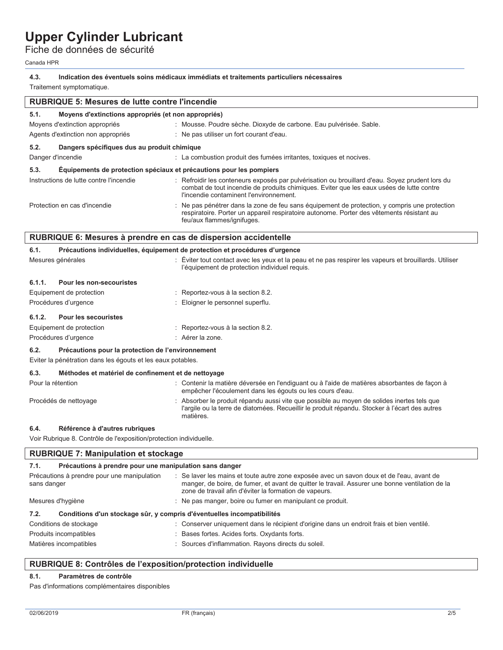## Fiche de données de sécurité

| Canada HPR                                                                                                                     |                                                                                                                                                                                                                                                        |  |  |
|--------------------------------------------------------------------------------------------------------------------------------|--------------------------------------------------------------------------------------------------------------------------------------------------------------------------------------------------------------------------------------------------------|--|--|
| 4.3.<br>Indication des éventuels soins médicaux immédiats et traitements particuliers nécessaires<br>Traitement symptomatique. |                                                                                                                                                                                                                                                        |  |  |
| <b>RUBRIQUE 5: Mesures de lutte contre l'incendie</b>                                                                          |                                                                                                                                                                                                                                                        |  |  |
| 5.1.<br>Moyens d'extinctions appropriés (et non appropriés)                                                                    |                                                                                                                                                                                                                                                        |  |  |
| Moyens d'extinction appropriés                                                                                                 | : Mousse. Poudre sèche. Dioxyde de carbone. Eau pulvérisée. Sable.                                                                                                                                                                                     |  |  |
| Agents d'extinction non appropriés                                                                                             | : Ne pas utiliser un fort courant d'eau.                                                                                                                                                                                                               |  |  |
| 5.2.<br>Dangers spécifiques dus au produit chimique                                                                            |                                                                                                                                                                                                                                                        |  |  |
| Danger d'incendie                                                                                                              | : La combustion produit des fumées irritantes, toxiques et nocives.                                                                                                                                                                                    |  |  |
| 5.3.<br>Équipements de protection spéciaux et précautions pour les pompiers                                                    |                                                                                                                                                                                                                                                        |  |  |
| Instructions de lutte contre l'incendie                                                                                        | : Refroidir les conteneurs exposés par pulvérisation ou brouillard d'eau. Soyez prudent lors du<br>combat de tout incendie de produits chimiques. Eviter que les eaux usées de lutte contre<br>l'incendie contaminent l'environnement.                 |  |  |
| Protection en cas d'incendie                                                                                                   | : Ne pas pénétrer dans la zone de feu sans équipement de protection, y compris une protection<br>respiratoire. Porter un appareil respiratoire autonome. Porter des vêtements résistant au<br>feu/aux flammes/ignifuges.                               |  |  |
| RUBRIQUE 6: Mesures à prendre en cas de dispersion accidentelle                                                                |                                                                                                                                                                                                                                                        |  |  |
| 6.1.                                                                                                                           | Précautions individuelles, équipement de protection et procédures d'urgence                                                                                                                                                                            |  |  |
| Mesures générales                                                                                                              | : Éviter tout contact avec les yeux et la peau et ne pas respirer les vapeurs et brouillards. Utiliser<br>l'équipement de protection individuel requis.                                                                                                |  |  |
| 6.1.1.<br>Pour les non-secouristes                                                                                             |                                                                                                                                                                                                                                                        |  |  |
| Equipement de protection                                                                                                       | : Reportez-vous à la section 8.2.                                                                                                                                                                                                                      |  |  |
| Procédures d'urgence                                                                                                           | : Eloigner le personnel superflu.                                                                                                                                                                                                                      |  |  |
| 6.1.2.<br><b>Pour les secouristes</b>                                                                                          |                                                                                                                                                                                                                                                        |  |  |
| Equipement de protection                                                                                                       | : Reportez-vous à la section 8.2.                                                                                                                                                                                                                      |  |  |
| Procédures d'urgence                                                                                                           | : Aérer la zone.                                                                                                                                                                                                                                       |  |  |
| 6.2.<br>Précautions pour la protection de l'environnement<br>Eviter la pénétration dans les égouts et les eaux potables.       |                                                                                                                                                                                                                                                        |  |  |
| 6.3.<br>Méthodes et matériel de confinement et de nettoyage                                                                    |                                                                                                                                                                                                                                                        |  |  |
| Pour la rétention                                                                                                              | : Contenir la matière déversée en l'endiguant ou à l'aide de matières absorbantes de façon à<br>empêcher l'écoulement dans les égouts ou les cours d'eau.                                                                                              |  |  |
| Procédés de nettoyage                                                                                                          | : Absorber le produit répandu aussi vite que possible au moyen de solides inertes tels que<br>l'argile ou la terre de diatomées. Recueillir le produit répandu. Stocker à l'écart des autres<br>matières.                                              |  |  |
| 6.4.<br>Référence à d'autres rubriques                                                                                         |                                                                                                                                                                                                                                                        |  |  |
| Voir Rubrique 8. Contrôle de l'exposition/protection individuelle.                                                             |                                                                                                                                                                                                                                                        |  |  |
| <b>RUBRIQUE 7: Manipulation et stockage</b>                                                                                    |                                                                                                                                                                                                                                                        |  |  |
| 7.1.<br>Précautions à prendre pour une manipulation sans danger                                                                |                                                                                                                                                                                                                                                        |  |  |
| Précautions à prendre pour une manipulation<br>sans danger                                                                     | : Se laver les mains et toute autre zone exposée avec un savon doux et de l'eau, avant de<br>manger, de boire, de fumer, et avant de quitter le travail. Assurer une bonne ventilation de la<br>zone de travail afin d'éviter la formation de vapeurs. |  |  |

| Mesures d'hygiène | : Ne pas manger, boire ou fumer en manipulant ce produit. |
|-------------------|-----------------------------------------------------------|
|                   |                                                           |

## **7.2. Conditions d'un stockage sûr, y compris d'éventuelles incompatibilités**

| Conditions de stockage | : Conserver uniquement dans le récipient d'origine dans un endroit frais et bien ventilé. |
|------------------------|-------------------------------------------------------------------------------------------|
| Produits incompatibles | Bases fortes. Acides forts. Oxydants forts.                                               |
| Matières incompatibles | : Sources d'inflammation. Rayons directs du soleil.                                       |

## **RUBRIQUE 8: Contrôles de l'exposition/protection individuelle**

## **8.1. Paramètres de contrôle**

Pas d'informations complémentaires disponibles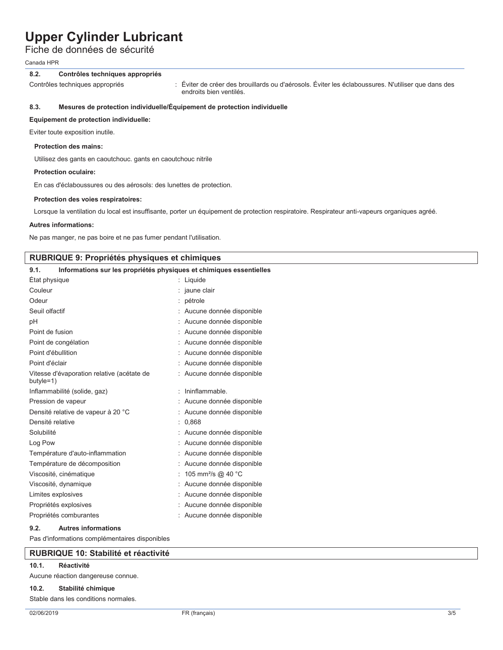Fiche de données de sécurité

Canada HPR

## **8.2. Contrôles techniques appropriés**

Contrôles techniques appropriés : Éviter de créer des brouillards ou d'aérosols. Éviter les éclaboussures. N'utiliser que dans des endroits bien ventilés.

## **8.3. Mesures de protection individuelle/Équipement de protection individuelle**

## **Equipement de protection individuelle:**

Eviter toute exposition inutile.

### **Protection des mains:**

Utilisez des gants en caoutchouc. gants en caoutchouc nitrile

### **Protection oculaire:**

En cas d'éclaboussures ou des aérosols: des lunettes de protection.

### **Protection des voies respiratoires:**

Lorsque la ventilation du local est insuffisante, porter un équipement de protection respiratoire. Respirateur anti-vapeurs organiques agréé.

### **Autres informations:**

Ne pas manger, ne pas boire et ne pas fumer pendant l'utilisation.

## **RUBRIQUE 9: Propriétés physiques et chimiques**

| Informations sur les propriétés physiques et chimiques essentielles<br>9.1. |                                |
|-----------------------------------------------------------------------------|--------------------------------|
| État physique                                                               | Liquide                        |
| Couleur                                                                     | jaune clair                    |
| Odeur                                                                       | pétrole                        |
| Seuil olfactif                                                              | Aucune donnée disponible       |
| рH                                                                          | Aucune donnée disponible       |
| Point de fusion                                                             | Aucune donnée disponible       |
| Point de congélation                                                        | Aucune donnée disponible       |
| Point d'ébullition                                                          | Aucune donnée disponible       |
| Point d'éclair                                                              | Aucune donnée disponible       |
| Vitesse d'évaporation relative (acétate de<br>butyle=1)                     | Aucune donnée disponible       |
| Inflammabilité (solide, gaz)                                                | Ininflammable                  |
| Pression de vapeur                                                          | Aucune donnée disponible       |
| Densité relative de vapeur à 20 °C                                          | Aucune donnée disponible       |
| Densité relative                                                            | 0.868                          |
| Solubilité                                                                  | Aucune donnée disponible       |
| Log Pow                                                                     | Aucune donnée disponible       |
| Température d'auto-inflammation                                             | Aucune donnée disponible       |
| Température de décomposition                                                | Aucune donnée disponible       |
| Viscosité, cinématique                                                      | 105 mm <sup>2</sup> /s @ 40 °C |
| Viscosité, dynamique                                                        | Aucune donnée disponible       |
| Limites explosives                                                          | Aucune donnée disponible       |
| Propriétés explosives                                                       | Aucune donnée disponible       |
| Propriétés comburantes                                                      | : Aucune donnée disponible     |

### **9.2. Autres informations**

Pas d'informations complémentaires disponibles

## **RUBRIQUE 10: Stabilité et réactivité**

## **10.1. Réactivité**

Aucune réaction dangereuse connue.

#### **10.2. Stabilité chimique**

Stable dans les conditions normales.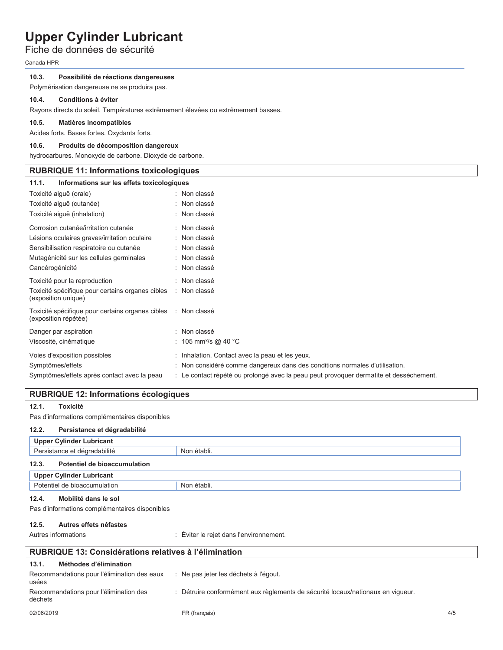## Fiche de données de sécurité

Canada HPR

### **10.3. Possibilité de réactions dangereuses**

Polymérisation dangereuse ne se produira pas.

### **10.4. Conditions à éviter**

Rayons directs du soleil. Températures extrêmement élevées ou extrêmement basses.

#### **10.5. Matières incompatibles**

Acides forts. Bases fortes. Oxydants forts.

### **10.6. Produits de décomposition dangereux**

hydrocarbures. Monoxyde de carbone. Dioxyde de carbone.

## **RUBRIQUE 11: Informations toxicologiques**

| 11.1.<br>Informations sur les effets toxicologiques                                   |                                                                                        |
|---------------------------------------------------------------------------------------|----------------------------------------------------------------------------------------|
| Toxicité aiguë (orale)                                                                | : Non classé                                                                           |
| Toxicité aiguë (cutanée)                                                              | : Non classé                                                                           |
| Toxicité aiguë (inhalation)                                                           | : Non classé                                                                           |
| Corrosion cutanée/irritation cutanée                                                  | : Non classé                                                                           |
| Lésions oculaires graves/irritation oculaire                                          | : Non classé                                                                           |
| Sensibilisation respiratoire ou cutanée                                               | : Non classé                                                                           |
| Mutagénicité sur les cellules germinales                                              | : Non classé                                                                           |
| Cancérogénicité                                                                       | : Non classé                                                                           |
| Toxicité pour la reproduction                                                         | : Non classé                                                                           |
| Toxicité spécifique pour certains organes cibles<br>(exposition unique)               | : Non classé                                                                           |
| Toxicité spécifique pour certains organes cibles : Non classé<br>(exposition répétée) |                                                                                        |
| Danger par aspiration                                                                 | : Non classé                                                                           |
| Viscosité, cinématique                                                                | : 105 mm <sup>2</sup> /s @ 40 °C                                                       |
| Voies d'exposition possibles                                                          | : Inhalation. Contact avec la peau et les yeux.                                        |
| Symptômes/effets                                                                      | : Non considéré comme dangereux dans des conditions normales d'utilisation.            |
| Symptômes/effets après contact avec la peau                                           | : Le contact répété ou prolongé avec la peau peut provoquer dermatite et dessèchement. |

## **RUBRIQUE 12: Informations écologiques**

### **12.1. Toxicité**

Pas d'informations complémentaires disponibles

### **12.2. Persistance et dégradabilité**

| <b>Upper Cylinder Lubricant</b>       |             |  |
|---------------------------------------|-------------|--|
| Persistance et dégradabilité          | Non établi. |  |
| 12.3.<br>Potentiel de bioaccumulation |             |  |
| Upper Cylinder Lubricant              |             |  |
| Potentiel de bioaccumulation          | Non établi. |  |

#### **12.4. Mobilité dans le sol**

Pas d'informations complémentaires disponibles

### **12.5. Autres effets néfastes**

Autres informations and the state of the second of the rejet dans l'environnement.

#### **RUBRIQUE 13: Considérations relatives à l'élimination 13.1. Méthodes d'élimination** Recommandations pour l'élimination des eaux usées : Ne pas jeter les déchets à l'égout. Recommandations pour l'élimination des déchets : Détruire conformément aux règlements de sécurité locaux/nationaux en vigueur.